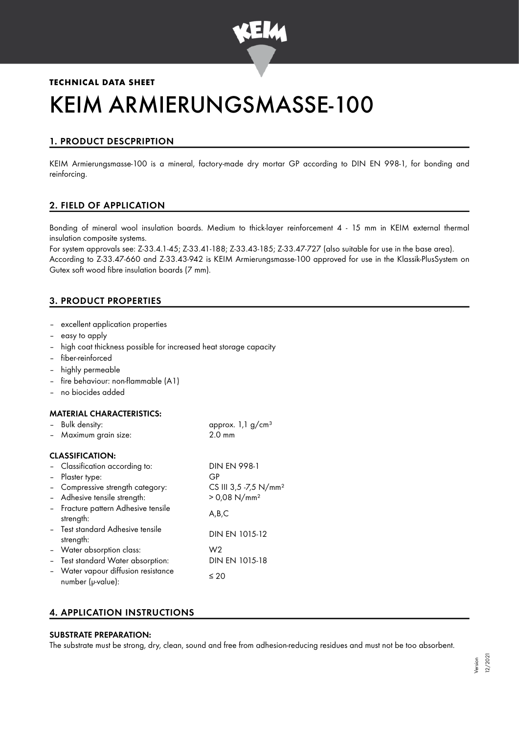

# **TECHNICAL DATA SHEET** KEIM ARMIERUNGSMASSE-100

# 1. PRODUCT DESCPRIPTION

KEIM Armierungsmasse-100 is a mineral, factory-made dry mortar GP according to DIN EN 998-1, for bonding and reinforcing.

# 2. FIELD OF APPLICATION

Bonding of mineral wool insulation boards. Medium to thick-layer reinforcement 4 - 15 mm in KEIM external thermal insulation composite systems.

For system approvals see: Z-33.4.1-45; Z-33.41-188; Z-33.43-185; Z-33.47-727 (also suitable for use in the base area). According to Z-33.47-660 and Z-33.43-942 is KEIM Armierungsmasse-100 approved for use in the Klassik-PlusSystem on Gutex soft wood fibre insulation boards (7 mm).

# 3. PRODUCT PROPERTIES

- excellent application properties
- easy to apply
- high coat thickness possible for increased heat storage capacity
- fiber-reinforced
- highly permeable
- fire behaviour: non-flammable (A1)
- no biocides added

## MATERIAL CHARACTERISTICS:

| - Bulk density:       | approx. $1,1$ g/cm <sup>3</sup> |
|-----------------------|---------------------------------|
| - Maximum grain size: | $2.0 \text{ mm}$                |
|                       |                                 |

## CLASSIFICATION:

| - Classification according to:                           | <b>DIN EN 998-1</b>               |
|----------------------------------------------------------|-----------------------------------|
| - Plaster type:                                          | GP                                |
| - Compressive strength category:                         | CS III 3,5 -7,5 N/mm <sup>2</sup> |
| - Adhesive tensile strength:                             | $> 0.08$ N/mm <sup>2</sup>        |
| - Fracture pattern Adhesive tensile<br>strength:         | A,B,C                             |
| - Test standard Adhesive tensile<br>strength:            | DIN EN 1015-12                    |
| - Water absorption class:                                | W2                                |
| - Test standard Water absorption:                        | DIN EN 1015-18                    |
| - Water vapour diffusion resistance<br>number (µ-value): | $\leq 20$                         |

# 4. APPLICATION INSTRUCTIONS

# SUBSTRATE PREPARATION:

The substrate must be strong, dry, clean, sound and free from adhesion-reducing residues and must not be too absorbent.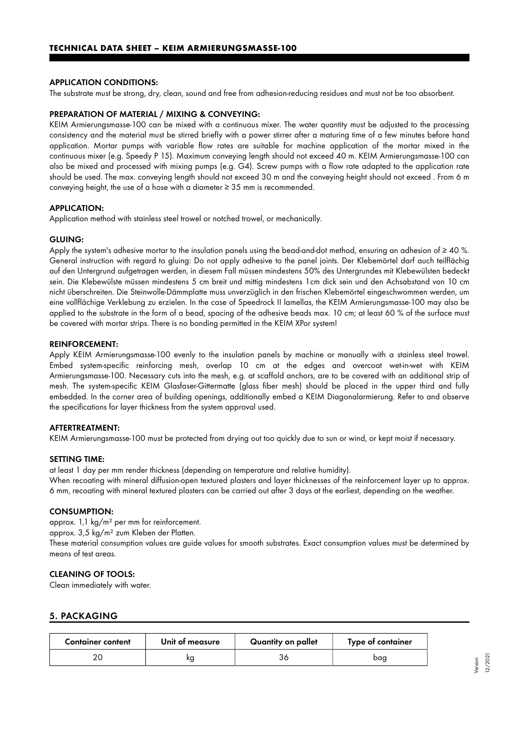## APPLICATION CONDITIONS:

The substrate must be strong, dry, clean, sound and free from adhesion-reducing residues and must not be too absorbent.

#### PREPARATION OF MATERIAL / MIXING & CONVEYING:

KEIM Armierungsmasse-100 can be mixed with a continuous mixer. The water quantity must be adjusted to the processing consistency and the material must be stirred briefly with a power stirrer after a maturing time of a few minutes before hand application. Mortar pumps with variable flow rates are suitable for machine application of the mortar mixed in the continuous mixer (e.g. Speedy P 15). Maximum conveying length should not exceed 40 m. KEIM Armierungsmasse-100 can also be mixed and processed with mixing pumps (e.g. G4). Screw pumps with a flow rate adapted to the application rate should be used. The max. conveying length should not exceed 30 m and the conveying height should not exceed . From 6 m conveying height, the use of a hose with a diameter ≥ 35 mm is recommended.

### APPLICATION:

Application method with stainless steel trowel or notched trowel, or mechanically.

#### GLUING:

Apply the system's adhesive mortar to the insulation panels using the bead-and-dot method, ensuring an adhesion of ≥ 40 %. General instruction with regard to gluing: Do not apply adhesive to the panel joints. Der Klebemörtel darf auch teilflächig auf den Untergrund aufgetragen werden, in diesem Fall müssen mindestens 50% des Untergrundes mit Klebewülsten bedeckt sein. Die Klebewülste müssen mindestens 5 cm breit und mittig mindestens 1cm dick sein und den Achsabstand von 10 cm nicht überschreiten. Die Steinwolle-Dämmplatte muss unverzüglich in den frischen Klebemörtel eingeschwommen werden, um eine vollflächige Verklebung zu erzielen. In the case of Speedrock II lamellas, the KEIM Armierungsmasse-100 may also be applied to the substrate in the form of a bead, spacing of the adhesive beads max. 10 cm; at least 60 % of the surface must be covered with mortar strips. There is no bonding permitted in the KEIM XPor system!

#### REINFORCEMENT:

Apply KEIM Armierungsmasse-100 evenly to the insulation panels by machine or manually with a stainless steel trowel. Embed system-specific reinforcing mesh, overlap 10 cm at the edges and overcoat wet-in-wet with KEIM Armierungsmasse-100. Necessary cuts into the mesh, e.g. at scaffold anchors, are to be covered with an additional strip of mesh. The system-specific KEIM Glasfaser-Gittermatte (glass fiber mesh) should be placed in the upper third and fully embedded. In the corner area of building openings, additionally embed a KEIM Diagonalarmierung. Refer to and observe the specifications for layer thickness from the system approval used.

#### AFTERTREATMENT:

KEIM Armierungsmasse-100 must be protected from drying out too quickly due to sun or wind, or kept moist if necessary.

#### SETTING TIME:

at least 1 day per mm render thickness (depending on temperature and relative humidity). When recoating with mineral diffusion-open textured plasters and layer thicknesses of the reinforcement layer up to approx. 6 mm, recoating with mineral textured plasters can be carried out after 3 days at the earliest, depending on the weather.

## CONSUMPTION:

approx. 1,1 kg/m² per mm for reinforcement.

approx. 3,5 kg/m² zum Kleben der Platten.

These material consumption values are guide values for smooth substrates. Exact consumption values must be determined by means of test areas.

## CLEANING OF TOOLS:

Clean immediately with water.

## 5. PACKAGING

| <b>Container content</b> | Unit of measure | Quantity on pallet | Type of container |
|--------------------------|-----------------|--------------------|-------------------|
| ົ                        | ĸα              |                    | baa               |